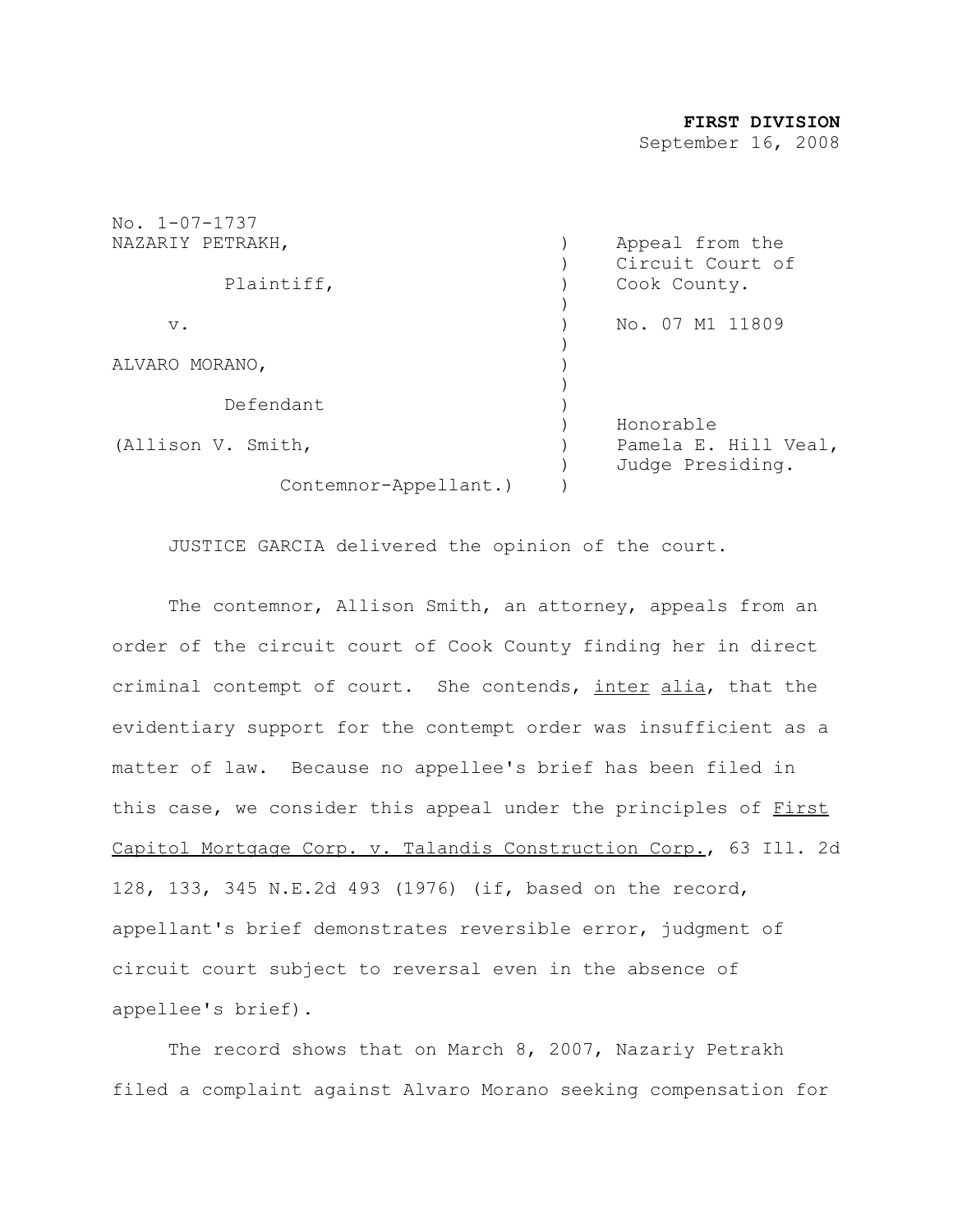#### **FIRST DIVISION**

September 16, 2008

| $No. 1 - 07 - 1737$   |                      |
|-----------------------|----------------------|
| NAZARIY PETRAKH,      | Appeal from the      |
|                       | Circuit Court of     |
| Plaintiff,            | Cook County.         |
|                       |                      |
| $V$ .                 | No. 07 M1 11809      |
|                       |                      |
| ALVARO MORANO,        |                      |
|                       |                      |
| Defendant             |                      |
|                       | Honorable            |
| (Allison V. Smith,    | Pamela E. Hill Veal, |
|                       | Judge Presiding.     |
| Contemnor-Appellant.) |                      |
|                       |                      |

JUSTICE GARCIA delivered the opinion of the court.

The contemnor, Allison Smith, an attorney, appeals from an order of the circuit court of Cook County finding her in direct criminal contempt of court. She contends, inter alia, that the evidentiary support for the contempt order was insufficient as a matter of law. Because no appellee's brief has been filed in this case, we consider this appeal under the principles of First Capitol Mortgage Corp. v. Talandis Construction Corp., 63 Ill. 2d 128, 133, 345 N.E.2d 493 (1976) (if, based on the record, appellant's brief demonstrates reversible error, judgment of circuit court subject to reversal even in the absence of appellee's brief).

The record shows that on March 8, 2007, Nazariy Petrakh filed a complaint against Alvaro Morano seeking compensation for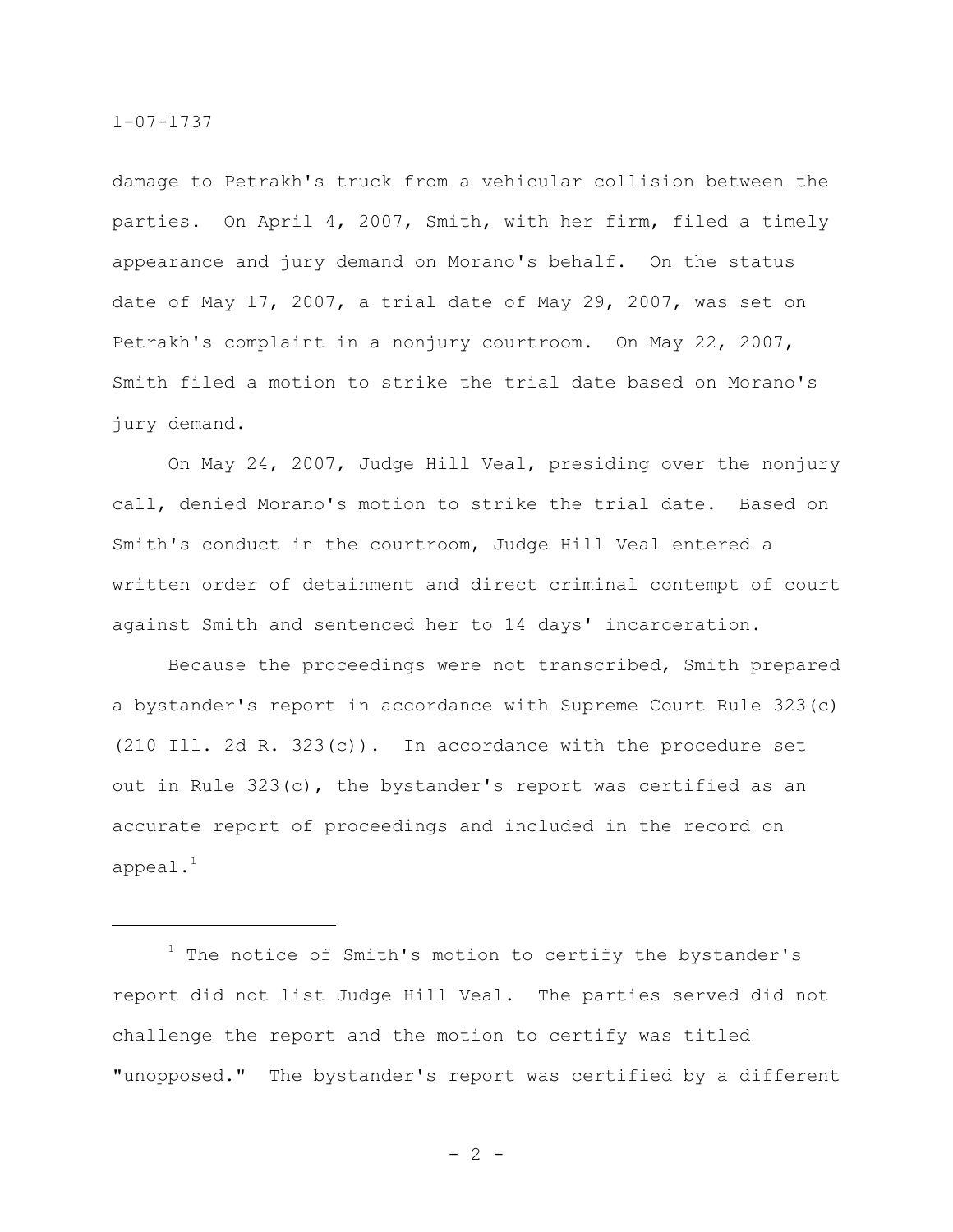damage to Petrakh's truck from a vehicular collision between the parties. On April 4, 2007, Smith, with her firm, filed a timely appearance and jury demand on Morano's behalf. On the status date of May 17, 2007, a trial date of May 29, 2007, was set on Petrakh's complaint in a nonjury courtroom. On May 22, 2007, Smith filed a motion to strike the trial date based on Morano's jury demand.

On May 24, 2007, Judge Hill Veal, presiding over the nonjury call, denied Morano's motion to strike the trial date. Based on Smith's conduct in the courtroom, Judge Hill Veal entered a written order of detainment and direct criminal contempt of court against Smith and sentenced her to 14 days' incarceration.

Because the proceedings were not transcribed, Smith prepared a bystander's report in accordance with Supreme Court Rule 323(c) (210 Ill. 2d R. 323(c)). In accordance with the procedure set out in Rule 323(c), the bystander's report was certified as an accurate report of proceedings and included in the record on appeal. $^1$ 

 $1$  The notice of Smith's motion to certify the bystander's report did not list Judge Hill Veal. The parties served did not challenge the report and the motion to certify was titled "unopposed." The bystander's report was certified by a different

 $- 2 -$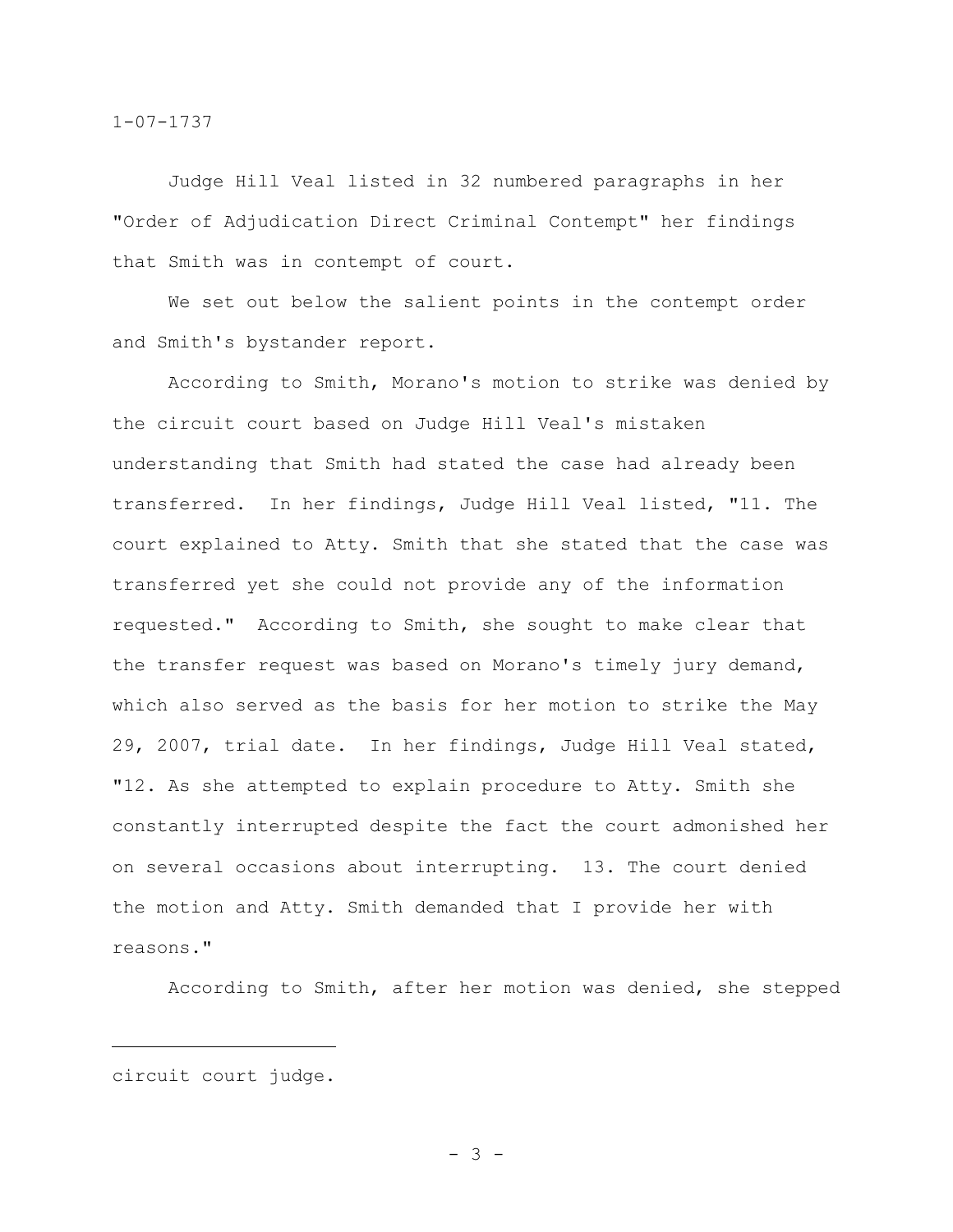Judge Hill Veal listed in 32 numbered paragraphs in her "Order of Adjudication Direct Criminal Contempt" her findings that Smith was in contempt of court.

We set out below the salient points in the contempt order and Smith's bystander report.

According to Smith, Morano's motion to strike was denied by the circuit court based on Judge Hill Veal's mistaken understanding that Smith had stated the case had already been transferred. In her findings, Judge Hill Veal listed, "11. The court explained to Atty. Smith that she stated that the case was transferred yet she could not provide any of the information requested." According to Smith, she sought to make clear that the transfer request was based on Morano's timely jury demand, which also served as the basis for her motion to strike the May 29, 2007, trial date. In her findings, Judge Hill Veal stated, "12. As she attempted to explain procedure to Atty. Smith she constantly interrupted despite the fact the court admonished her on several occasions about interrupting. 13. The court denied the motion and Atty. Smith demanded that I provide her with reasons."

According to Smith, after her motion was denied, she stepped

circuit court judge.

- 3 -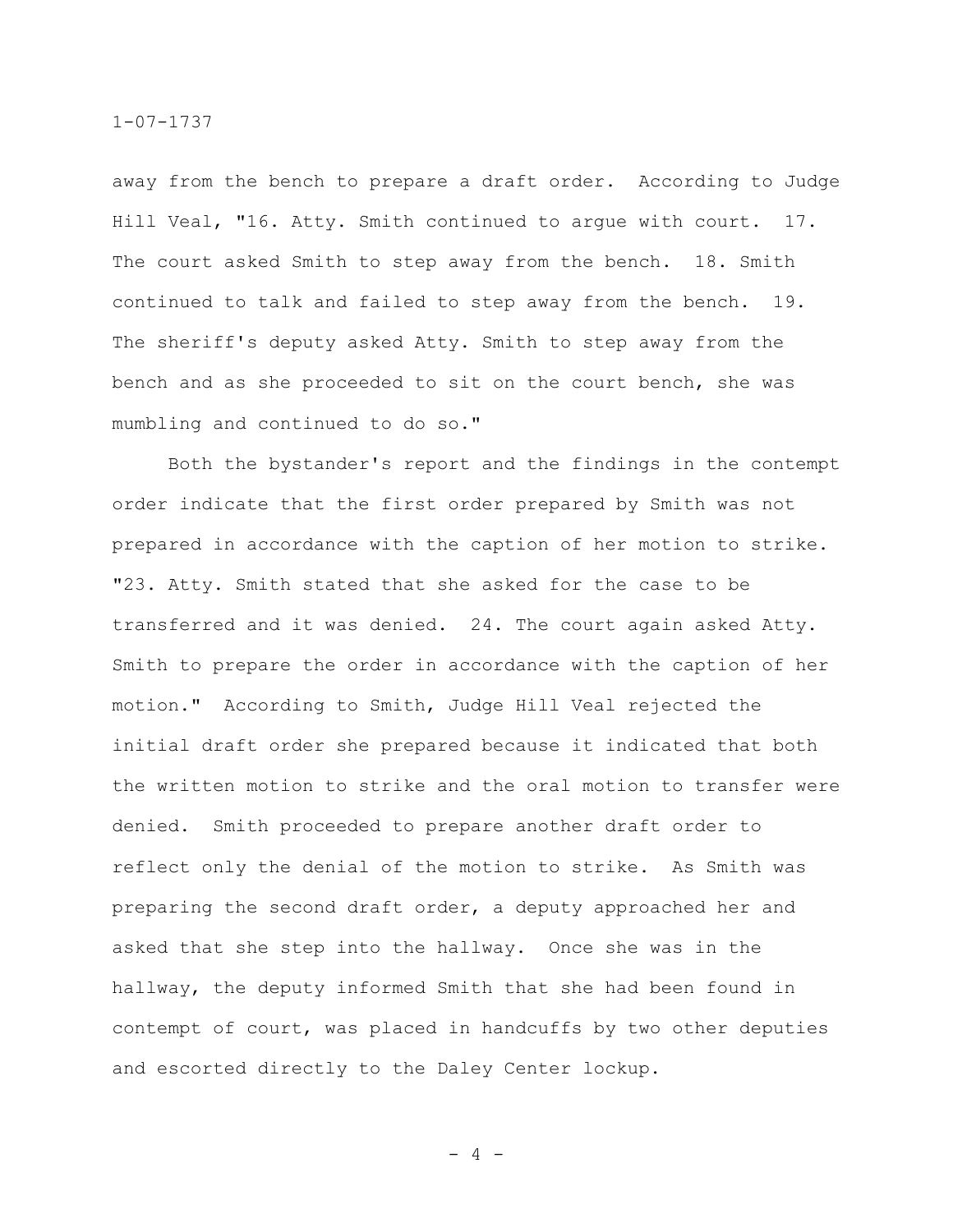away from the bench to prepare a draft order. According to Judge Hill Veal, "16. Atty. Smith continued to argue with court. 17. The court asked Smith to step away from the bench. 18. Smith continued to talk and failed to step away from the bench. 19. The sheriff's deputy asked Atty. Smith to step away from the bench and as she proceeded to sit on the court bench, she was mumbling and continued to do so."

Both the bystander's report and the findings in the contempt order indicate that the first order prepared by Smith was not prepared in accordance with the caption of her motion to strike. "23. Atty. Smith stated that she asked for the case to be transferred and it was denied. 24. The court again asked Atty. Smith to prepare the order in accordance with the caption of her motion." According to Smith, Judge Hill Veal rejected the initial draft order she prepared because it indicated that both the written motion to strike and the oral motion to transfer were denied. Smith proceeded to prepare another draft order to reflect only the denial of the motion to strike. As Smith was preparing the second draft order, a deputy approached her and asked that she step into the hallway. Once she was in the hallway, the deputy informed Smith that she had been found in contempt of court, was placed in handcuffs by two other deputies and escorted directly to the Daley Center lockup.

- 4 -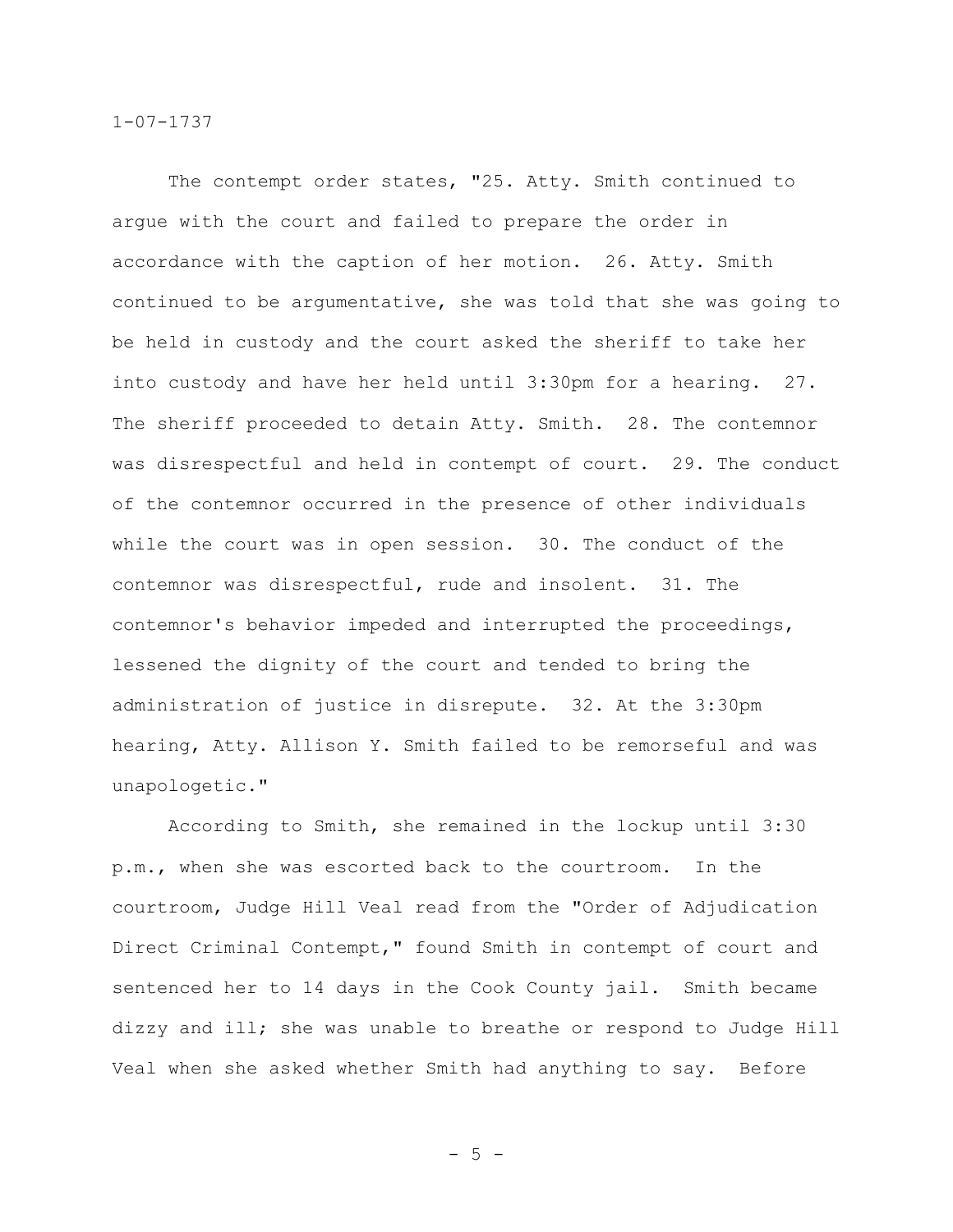The contempt order states, "25. Atty. Smith continued to argue with the court and failed to prepare the order in accordance with the caption of her motion. 26. Atty. Smith continued to be argumentative, she was told that she was going to be held in custody and the court asked the sheriff to take her into custody and have her held until 3:30pm for a hearing. 27. The sheriff proceeded to detain Atty. Smith. 28. The contemnor was disrespectful and held in contempt of court. 29. The conduct of the contemnor occurred in the presence of other individuals while the court was in open session. 30. The conduct of the contemnor was disrespectful, rude and insolent. 31. The contemnor's behavior impeded and interrupted the proceedings, lessened the dignity of the court and tended to bring the administration of justice in disrepute. 32. At the 3:30pm hearing, Atty. Allison Y. Smith failed to be remorseful and was unapologetic."

According to Smith, she remained in the lockup until 3:30 p.m., when she was escorted back to the courtroom. In the courtroom, Judge Hill Veal read from the "Order of Adjudication Direct Criminal Contempt," found Smith in contempt of court and sentenced her to 14 days in the Cook County jail. Smith became dizzy and ill; she was unable to breathe or respond to Judge Hill Veal when she asked whether Smith had anything to say. Before

 $-5 -$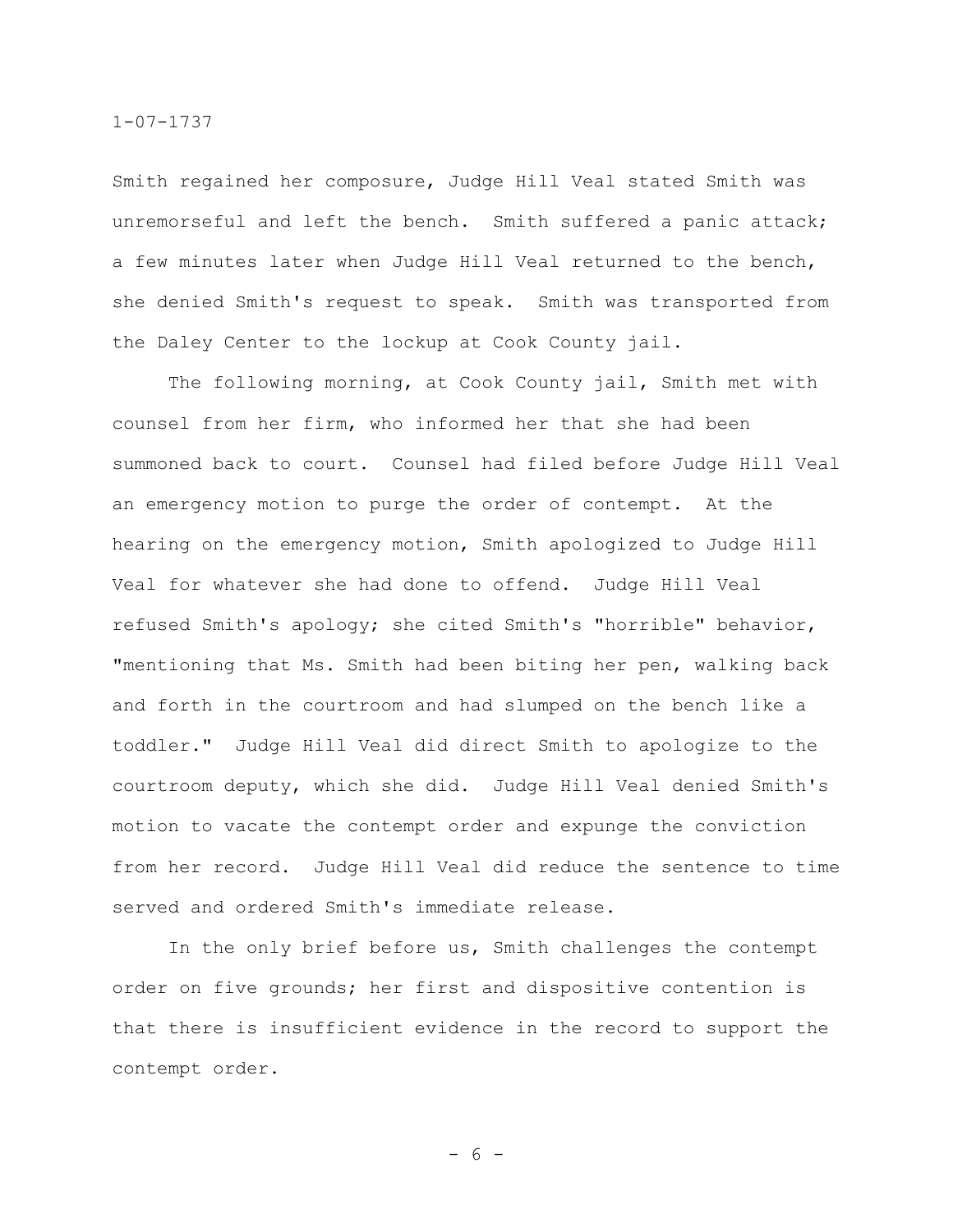Smith regained her composure, Judge Hill Veal stated Smith was unremorseful and left the bench. Smith suffered a panic attack; a few minutes later when Judge Hill Veal returned to the bench, she denied Smith's request to speak. Smith was transported from the Daley Center to the lockup at Cook County jail.

The following morning, at Cook County jail, Smith met with counsel from her firm, who informed her that she had been summoned back to court. Counsel had filed before Judge Hill Veal an emergency motion to purge the order of contempt. At the hearing on the emergency motion, Smith apologized to Judge Hill Veal for whatever she had done to offend. Judge Hill Veal refused Smith's apology; she cited Smith's "horrible" behavior, "mentioning that Ms. Smith had been biting her pen, walking back and forth in the courtroom and had slumped on the bench like a toddler." Judge Hill Veal did direct Smith to apologize to the courtroom deputy, which she did. Judge Hill Veal denied Smith's motion to vacate the contempt order and expunge the conviction from her record. Judge Hill Veal did reduce the sentence to time served and ordered Smith's immediate release.

In the only brief before us, Smith challenges the contempt order on five grounds; her first and dispositive contention is that there is insufficient evidence in the record to support the contempt order.

- 6 -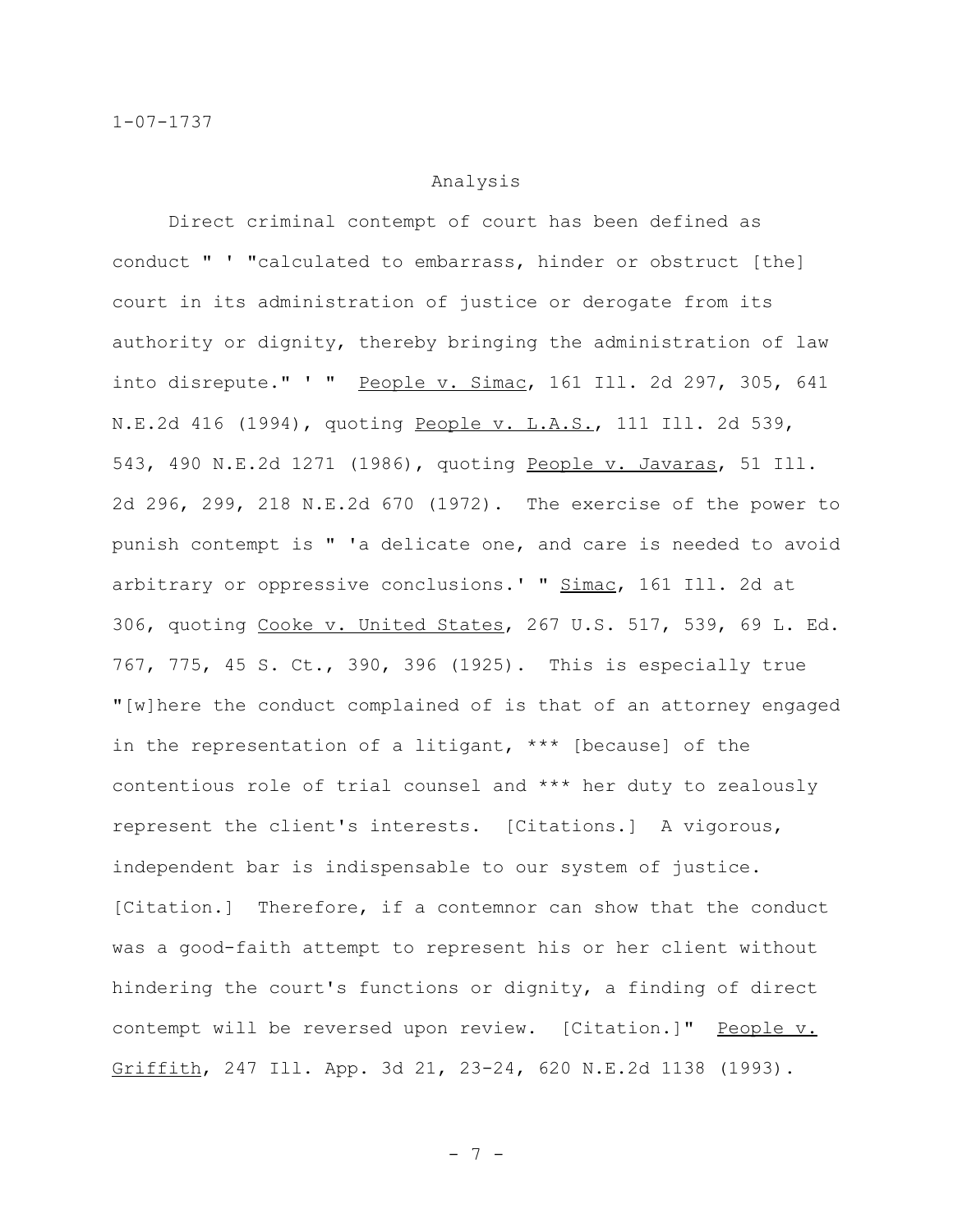#### Analysis

Direct criminal contempt of court has been defined as conduct " ' "calculated to embarrass, hinder or obstruct [the] court in its administration of justice or derogate from its authority or dignity, thereby bringing the administration of law into disrepute." ' " People v. Simac, 161 Ill. 2d 297, 305, 641 N.E.2d 416 (1994), quoting People v. L.A.S., 111 Ill. 2d 539, 543, 490 N.E.2d 1271 (1986), quoting People v. Javaras, 51 Ill. 2d 296, 299, 218 N.E.2d 670 (1972). The exercise of the power to punish contempt is " 'a delicate one, and care is needed to avoid arbitrary or oppressive conclusions.' " Simac, 161 Ill. 2d at 306, quoting Cooke v. United States, 267 U.S. 517, 539, 69 L. Ed. 767, 775, 45 S. Ct., 390, 396 (1925). This is especially true "[w]here the conduct complained of is that of an attorney engaged in the representation of a litigant, \*\*\* [because] of the contentious role of trial counsel and \*\*\* her duty to zealously represent the client's interests. [Citations.] A vigorous, independent bar is indispensable to our system of justice. [Citation.] Therefore, if a contemnor can show that the conduct was a good-faith attempt to represent his or her client without hindering the court's functions or dignity, a finding of direct contempt will be reversed upon review. [Citation.]" People v. Griffith, 247 Ill. App. 3d 21, 23-24, 620 N.E.2d 1138 (1993).

- 7 -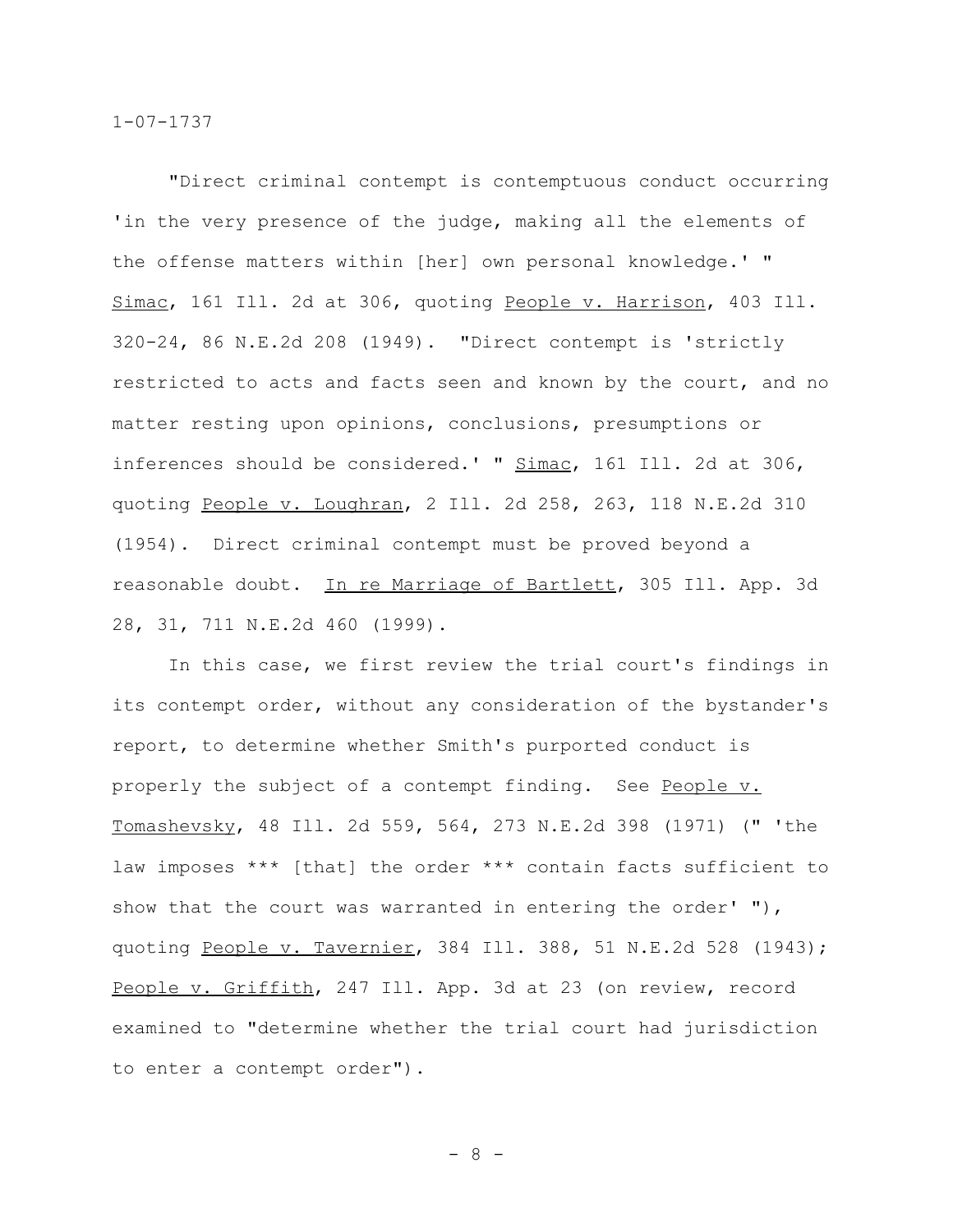"Direct criminal contempt is contemptuous conduct occurring 'in the very presence of the judge, making all the elements of the offense matters within [her] own personal knowledge.' " Simac, 161 Ill. 2d at 306, quoting People v. Harrison, 403 Ill. 320-24, 86 N.E.2d 208 (1949). "Direct contempt is 'strictly restricted to acts and facts seen and known by the court, and no matter resting upon opinions, conclusions, presumptions or inferences should be considered.' " Simac, 161 Ill. 2d at 306, quoting People v. Loughran, 2 Ill. 2d 258, 263, 118 N.E.2d 310 (1954). Direct criminal contempt must be proved beyond a reasonable doubt. In re Marriage of Bartlett, 305 Ill. App. 3d 28, 31, 711 N.E.2d 460 (1999).

In this case, we first review the trial court's findings in its contempt order, without any consideration of the bystander's report, to determine whether Smith's purported conduct is properly the subject of a contempt finding. See People v. Tomashevsky, 48 Ill. 2d 559, 564, 273 N.E.2d 398 (1971) (" 'the law imposes \*\*\* [that] the order \*\*\* contain facts sufficient to show that the court was warranted in entering the order' "), quoting People v. Tavernier, 384 Ill. 388, 51 N.E.2d 528 (1943); People v. Griffith, 247 Ill. App. 3d at 23 (on review, record examined to "determine whether the trial court had jurisdiction to enter a contempt order").

- 8 -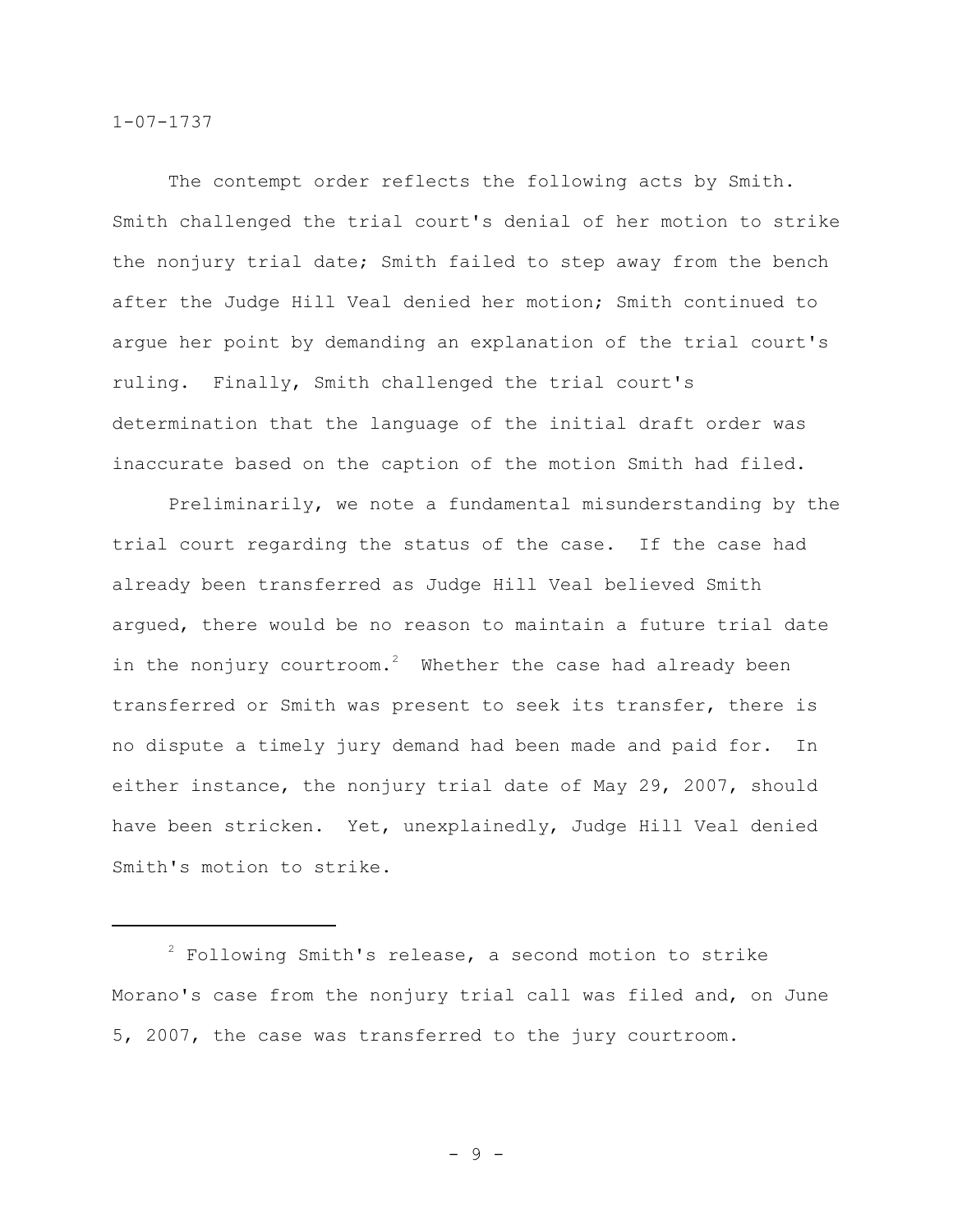The contempt order reflects the following acts by Smith. Smith challenged the trial court's denial of her motion to strike the nonjury trial date; Smith failed to step away from the bench after the Judge Hill Veal denied her motion; Smith continued to argue her point by demanding an explanation of the trial court's ruling. Finally, Smith challenged the trial court's determination that the language of the initial draft order was inaccurate based on the caption of the motion Smith had filed.

Preliminarily, we note a fundamental misunderstanding by the trial court regarding the status of the case. If the case had already been transferred as Judge Hill Veal believed Smith argued, there would be no reason to maintain a future trial date in the nonjury courtroom.<sup>2</sup> Whether the case had already been transferred or Smith was present to seek its transfer, there is no dispute a timely jury demand had been made and paid for. In either instance, the nonjury trial date of May 29, 2007, should have been stricken. Yet, unexplainedly, Judge Hill Veal denied Smith's motion to strike.

 $2$  Following Smith's release, a second motion to strike Morano's case from the nonjury trial call was filed and, on June 5, 2007, the case was transferred to the jury courtroom.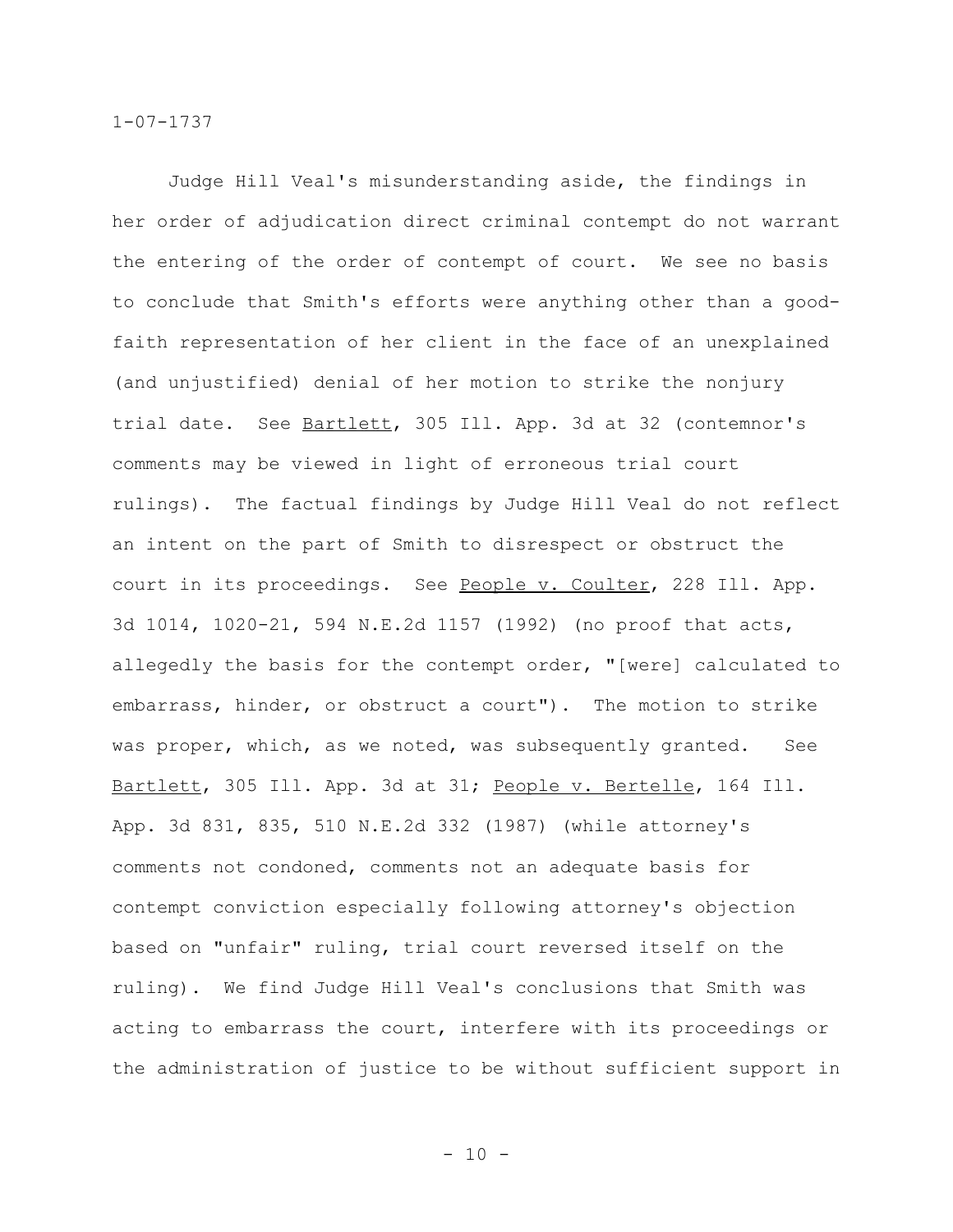Judge Hill Veal's misunderstanding aside, the findings in her order of adjudication direct criminal contempt do not warrant the entering of the order of contempt of court. We see no basis to conclude that Smith's efforts were anything other than a goodfaith representation of her client in the face of an unexplained (and unjustified) denial of her motion to strike the nonjury trial date. See Bartlett, 305 Ill. App. 3d at 32 (contemnor's comments may be viewed in light of erroneous trial court rulings). The factual findings by Judge Hill Veal do not reflect an intent on the part of Smith to disrespect or obstruct the court in its proceedings. See People v. Coulter, 228 Ill. App. 3d 1014, 1020-21, 594 N.E.2d 1157 (1992) (no proof that acts, allegedly the basis for the contempt order, "[were] calculated to embarrass, hinder, or obstruct a court"). The motion to strike was proper, which, as we noted, was subsequently granted. See Bartlett, 305 Ill. App. 3d at 31; People v. Bertelle, 164 Ill. App. 3d 831, 835, 510 N.E.2d 332 (1987) (while attorney's comments not condoned, comments not an adequate basis for contempt conviction especially following attorney's objection based on "unfair" ruling, trial court reversed itself on the ruling). We find Judge Hill Veal's conclusions that Smith was acting to embarrass the court, interfere with its proceedings or the administration of justice to be without sufficient support in

 $- 10 -$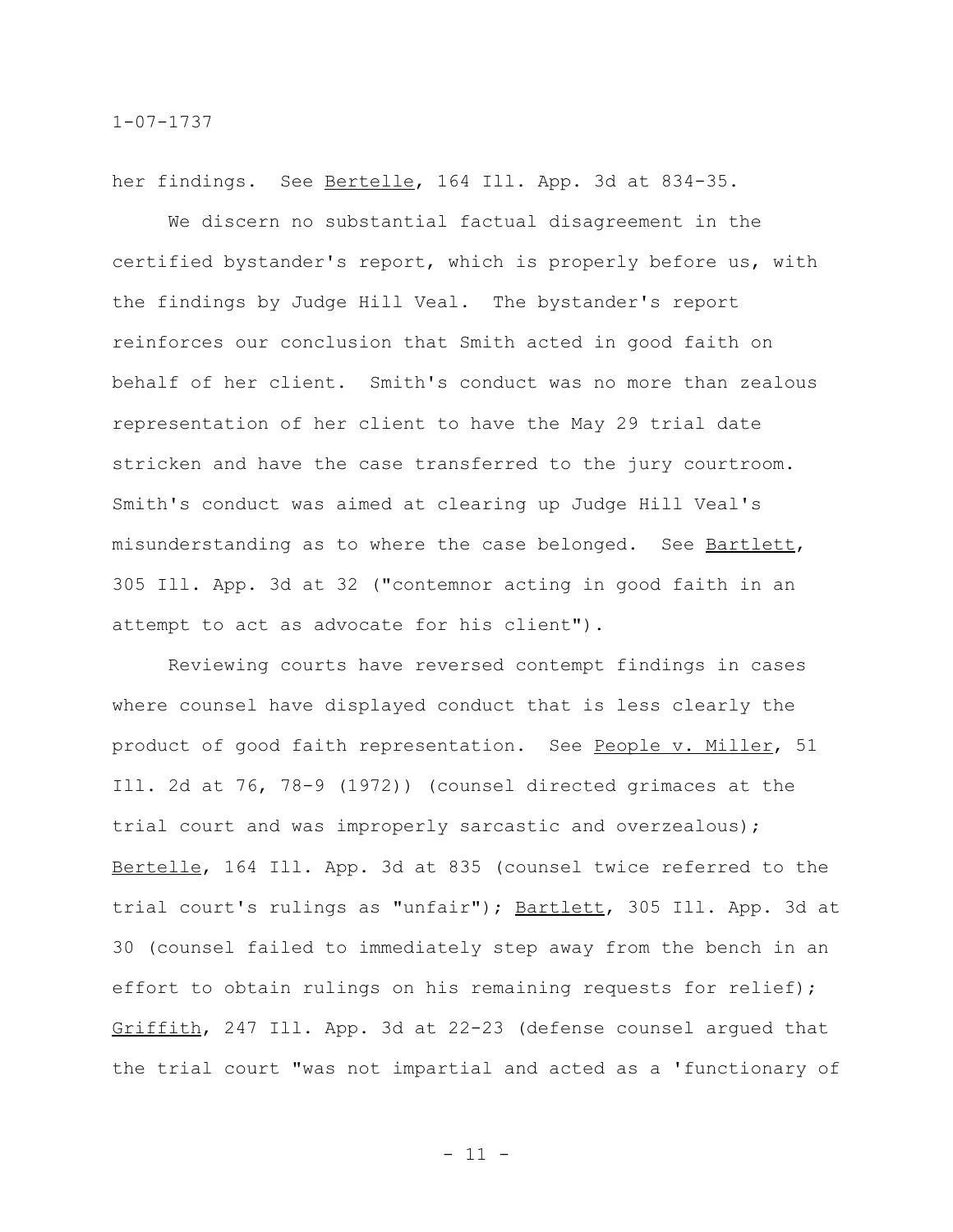her findings. See Bertelle, 164 Ill. App. 3d at 834-35.

We discern no substantial factual disagreement in the certified bystander's report, which is properly before us, with the findings by Judge Hill Veal. The bystander's report reinforces our conclusion that Smith acted in good faith on behalf of her client. Smith's conduct was no more than zealous representation of her client to have the May 29 trial date stricken and have the case transferred to the jury courtroom. Smith's conduct was aimed at clearing up Judge Hill Veal's misunderstanding as to where the case belonged. See Bartlett, 305 Ill. App. 3d at 32 ("contemnor acting in good faith in an attempt to act as advocate for his client").

Reviewing courts have reversed contempt findings in cases where counsel have displayed conduct that is less clearly the product of good faith representation. See People v. Miller, 51 Ill. 2d at 76, 78-9 (1972)) (counsel directed grimaces at the trial court and was improperly sarcastic and overzealous); Bertelle, 164 Ill. App. 3d at 835 (counsel twice referred to the trial court's rulings as "unfair"); Bartlett, 305 Ill. App. 3d at 30 (counsel failed to immediately step away from the bench in an effort to obtain rulings on his remaining requests for relief); Griffith, 247 Ill. App. 3d at 22-23 (defense counsel argued that the trial court "was not impartial and acted as a 'functionary of

- 11 -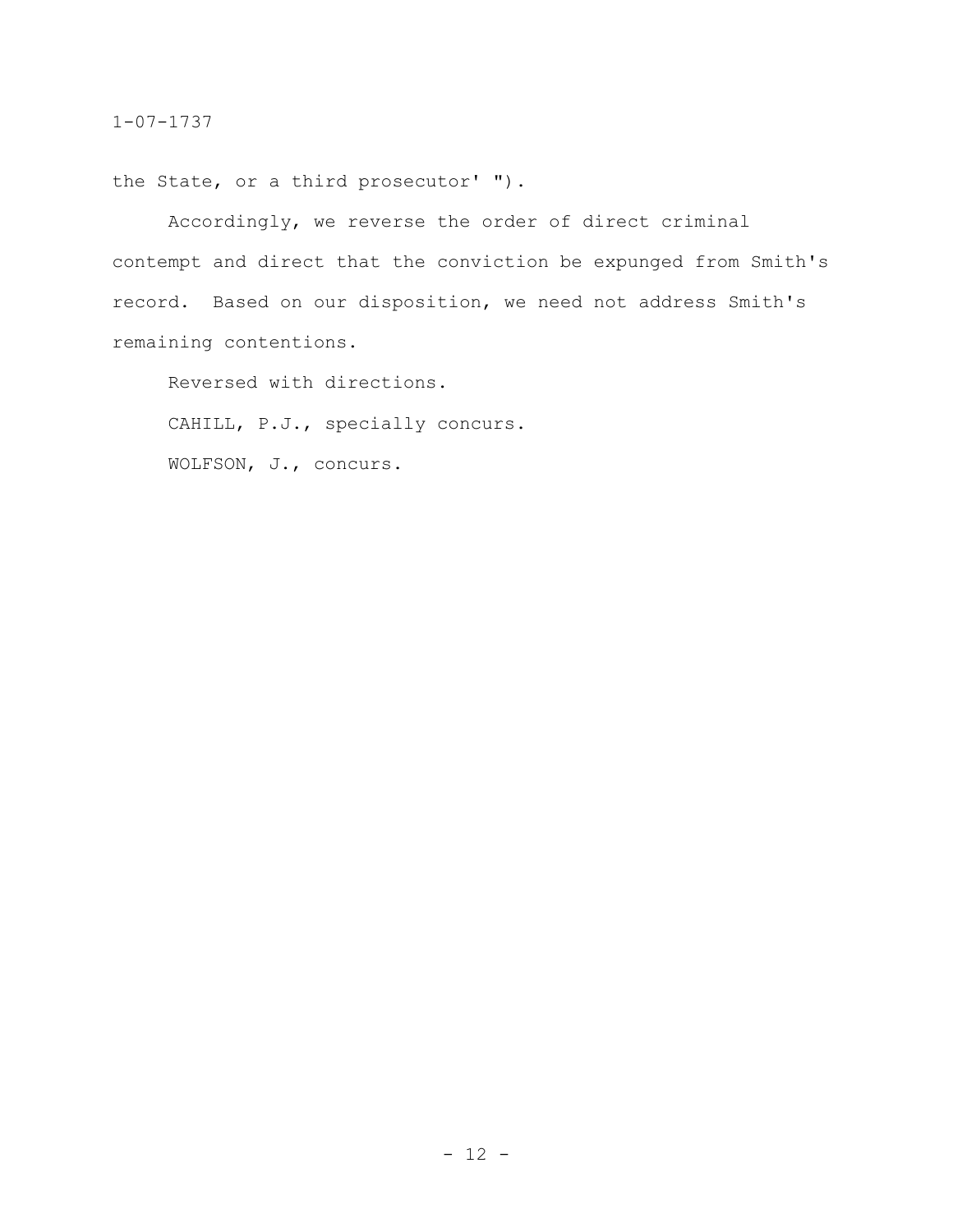the State, or a third prosecutor' ").

Accordingly, we reverse the order of direct criminal contempt and direct that the conviction be expunged from Smith's record. Based on our disposition, we need not address Smith's remaining contentions.

Reversed with directions.

CAHILL, P.J., specially concurs.

WOLFSON, J., concurs.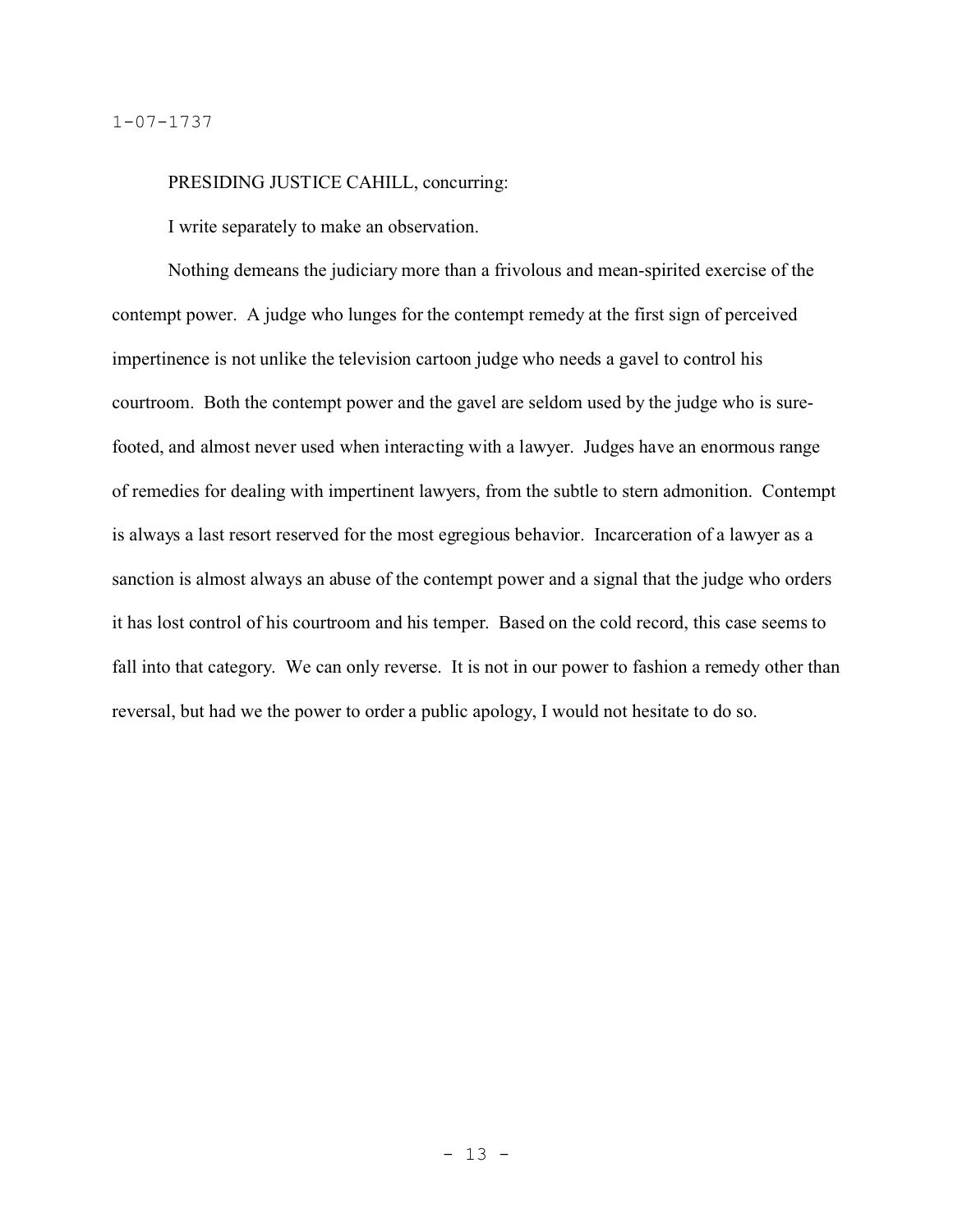### PRESIDING JUSTICE CAHILL, concurring:

I write separately to make an observation.

Nothing demeans the judiciary more than a frivolous and mean-spirited exercise of the contempt power. A judge who lunges for the contempt remedy at the first sign of perceived impertinence is not unlike the television cartoon judge who needs a gavel to control his courtroom. Both the contempt power and the gavel are seldom used by the judge who is surefooted, and almost never used when interacting with a lawyer. Judges have an enormous range of remedies for dealing with impertinent lawyers, from the subtle to stern admonition. Contempt is always a last resort reserved for the most egregious behavior. Incarceration of a lawyer as a sanction is almost always an abuse of the contempt power and a signal that the judge who orders it has lost control of his courtroom and his temper. Based on the cold record, this case seems to fall into that category. We can only reverse. It is not in our power to fashion a remedy other than reversal, but had we the power to order a public apology, I would not hesitate to do so.